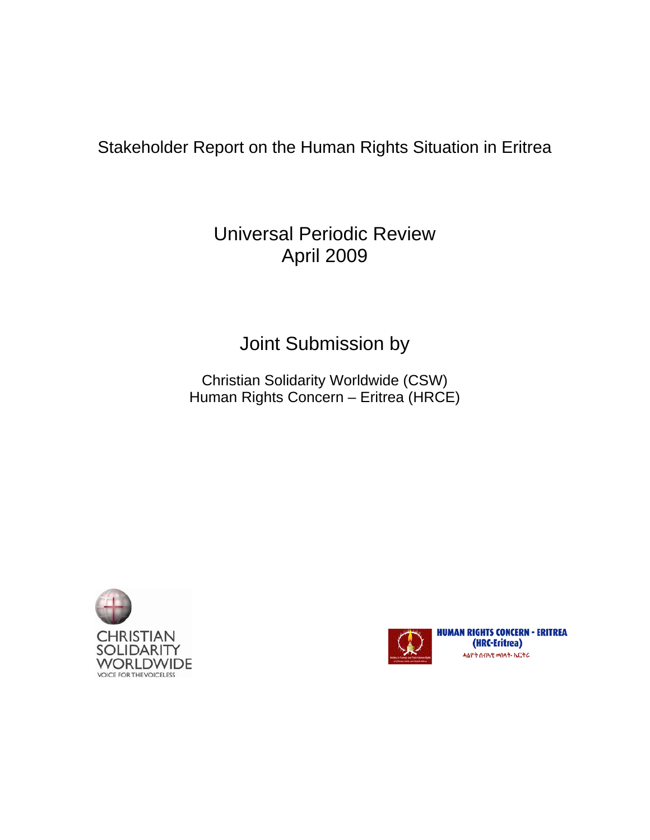## Stakeholder Report on the Human Rights Situation in Eritrea

## Universal Periodic Review April 2009

# Joint Submission by

Christian Solidarity Worldwide (CSW) Human Rights Concern – Eritrea (HRCE)





**HUMAN RIGHTS CONCERN - ERITREA** (HRC-Eritrea) ሓልዮት ሰብኣዊ መሰላት- ኤርትራ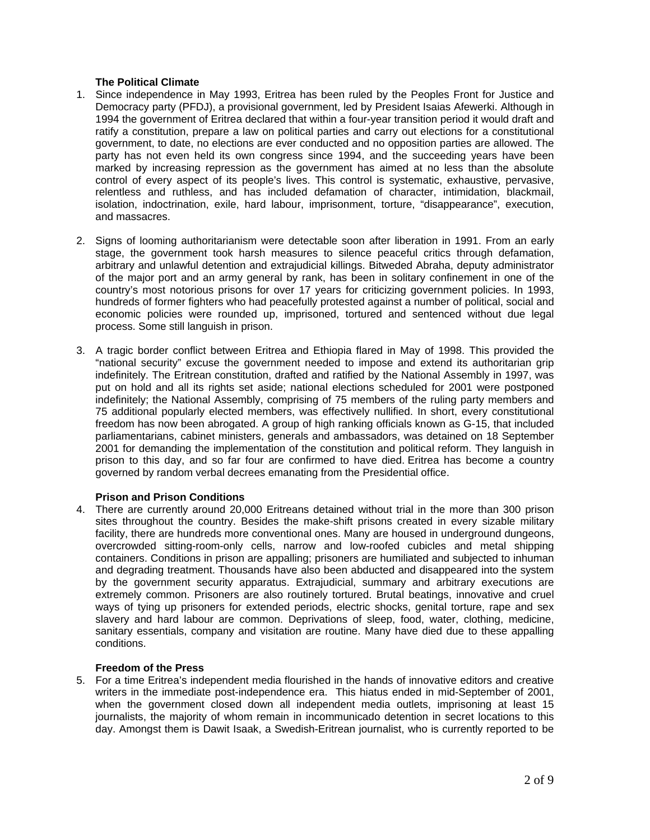## **The Political Climate**

- 1. Since independence in May 1993, Eritrea has been ruled by the Peoples Front for Justice and Democracy party (PFDJ), a provisional government, led by President Isaias Afewerki. Although in 1994 the government of Eritrea declared that within a four-year transition period it would draft and ratify a constitution, prepare a law on political parties and carry out elections for a constitutional government, to date, no elections are ever conducted and no opposition parties are allowed. The party has not even held its own congress since 1994, and the succeeding years have been marked by increasing repression as the government has aimed at no less than the absolute control of every aspect of its people's lives. This control is systematic, exhaustive, pervasive, relentless and ruthless, and has included defamation of character, intimidation, blackmail, isolation, indoctrination, exile, hard labour, imprisonment, torture, "disappearance", execution, and massacres.
- 2. Signs of looming authoritarianism were detectable soon after liberation in 1991. From an early stage, the government took harsh measures to silence peaceful critics through defamation, arbitrary and unlawful detention and extrajudicial killings. Bitweded Abraha, deputy administrator of the major port and an army general by rank, has been in solitary confinement in one of the country's most notorious prisons for over 17 years for criticizing government policies. In 1993, hundreds of former fighters who had peacefully protested against a number of political, social and economic policies were rounded up, imprisoned, tortured and sentenced without due legal process. Some still languish in prison.
- 3. A tragic border conflict between Eritrea and Ethiopia flared in May of 1998. This provided the "national security" excuse the government needed to impose and extend its authoritarian grip indefinitely. The Eritrean constitution, drafted and ratified by the National Assembly in 1997, was put on hold and all its rights set aside; national elections scheduled for 2001 were postponed indefinitely; the National Assembly, comprising of 75 members of the ruling party members and 75 additional popularly elected members, was effectively nullified. In short, every constitutional freedom has now been abrogated. A group of high ranking officials known as G-15, that included parliamentarians, cabinet ministers, generals and ambassadors, was detained on 18 September 2001 for demanding the implementation of the constitution and political reform. They languish in prison to this day, and so far four are confirmed to have died. Eritrea has become a country governed by random verbal decrees emanating from the Presidential office.

#### **Prison and Prison Conditions**

4. There are currently around 20,000 Eritreans detained without trial in the more than 300 prison sites throughout the country. Besides the make-shift prisons created in every sizable military facility, there are hundreds more conventional ones. Many are housed in underground dungeons, overcrowded sitting-room-only cells, narrow and low-roofed cubicles and metal shipping containers. Conditions in prison are appalling; prisoners are humiliated and subjected to inhuman and degrading treatment. Thousands have also been abducted and disappeared into the system by the government security apparatus. Extrajudicial, summary and arbitrary executions are extremely common. Prisoners are also routinely tortured. Brutal beatings, innovative and cruel ways of tying up prisoners for extended periods, electric shocks, genital torture, rape and sex slavery and hard labour are common. Deprivations of sleep, food, water, clothing, medicine, sanitary essentials, company and visitation are routine. Many have died due to these appalling conditions.

#### **Freedom of the Press**

5. For a time Eritrea's independent media flourished in the hands of innovative editors and creative writers in the immediate post-independence era. This hiatus ended in mid-September of 2001, when the government closed down all independent media outlets, imprisoning at least 15 journalists, the majority of whom remain in incommunicado detention in secret locations to this day. Amongst them is Dawit Isaak, a Swedish-Eritrean journalist, who is currently reported to be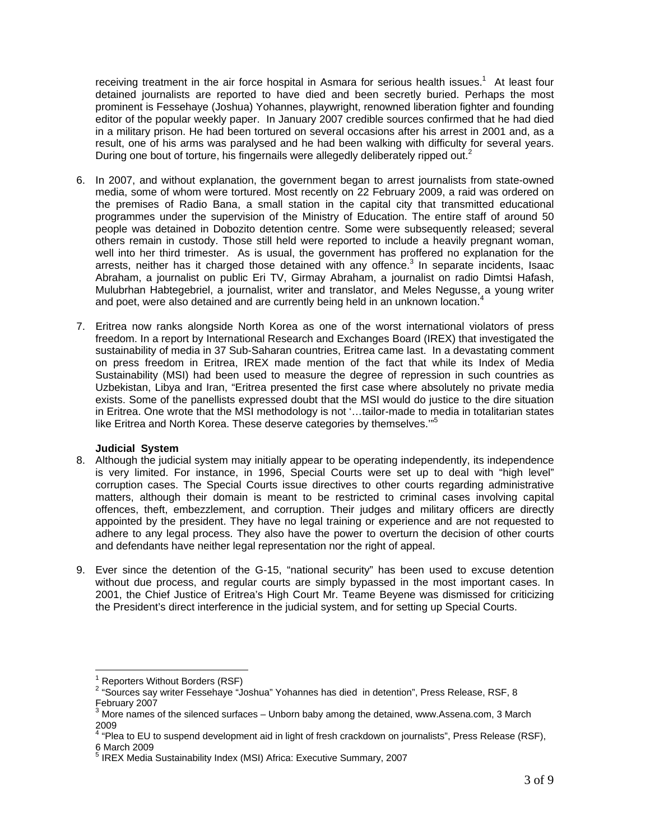receiving treatment in the air force hospital in Asmara for serious health issues.<sup>1</sup> At least four detained journalists are reported to have died and been secretly buried. Perhaps the most prominent is Fessehaye (Joshua) Yohannes, playwright, renowned liberation fighter and founding editor of the popular weekly paper. In January 2007 credible sources confirmed that he had died in a military prison. He had been tortured on several occasions after his arrest in 2001 and, as a result, one of his arms was paralysed and he had been walking with difficulty for several years. During one bout of torture, his fingernails were allegedly deliberately ripped out.<sup>2</sup>

- 6. In 2007, and without explanation, the government began to arrest journalists from state-owned media, some of whom were tortured. Most recently on 22 February 2009, a raid was ordered on the premises of Radio Bana, a small station in the capital city that transmitted educational programmes under the supervision of the Ministry of Education. The entire staff of around 50 people was detained in Dobozito detention centre. Some were subsequently released; several others remain in custody. Those still held were reported to include a heavily pregnant woman, well into her third trimester. As is usual, the government has proffered no explanation for the arrests, neither has it charged those detained with any offence.<sup>3</sup> In separate incidents, Isaac Abraham, a journalist on public Eri TV, Girmay Abraham, a journalist on radio Dimtsi Hafash, Mulubrhan Habtegebriel, a journalist, writer and translator, and Meles Negusse, a young writer and poet, were also detained and are currently being held in an unknown location.<sup>4</sup>
- 7. Eritrea now ranks alongside North Korea as one of the worst international violators of press freedom. In a report by International Research and Exchanges Board (IREX) that investigated the sustainability of media in 37 Sub-Saharan countries, Eritrea came last. In a devastating comment on press freedom in Eritrea, IREX made mention of the fact that while its Index of Media Sustainability (MSI) had been used to measure the degree of repression in such countries as Uzbekistan, Libya and Iran, "Eritrea presented the first case where absolutely no private media exists. Some of the panellists expressed doubt that the MSI would do justice to the dire situation in Eritrea. One wrote that the MSI methodology is not '…tailor-made to media in totalitarian states like Eritrea and North Korea. These deserve categories by themselves."<sup>5</sup>

#### **Judicial System**

- 8. Although the judicial system may initially appear to be operating independently, its independence is very limited. For instance, in 1996, Special Courts were set up to deal with "high level" corruption cases. The Special Courts issue directives to other courts regarding administrative matters, although their domain is meant to be restricted to criminal cases involving capital offences, theft, embezzlement, and corruption. Their judges and military officers are directly appointed by the president. They have no legal training or experience and are not requested to adhere to any legal process. They also have the power to overturn the decision of other courts and defendants have neither legal representation nor the right of appeal.
- 9. Ever since the detention of the G-15, "national security" has been used to excuse detention without due process, and regular courts are simply bypassed in the most important cases. In 2001, the Chief Justice of Eritrea's High Court Mr. Teame Beyene was dismissed for criticizing the President's direct interference in the judicial system, and for setting up Special Courts.

 $\overline{1}$ 

<sup>1</sup> Reporters Without Borders (RSF)

<sup>&</sup>lt;sup>2</sup> "Sources say writer Fessehaye "Joshua" Yohannes has died in detention", Press Release, RSF, 8 February 2007

 $3$  More names of the silenced surfaces – Unborn baby among the detained, www.Assena.com, 3 March 2009

<sup>&</sup>lt;sup>4</sup> "Plea to EU to suspend development aid in light of fresh crackdown on journalists", Press Release (RSF), 6 March 2009<br><sup>5</sup> IDEX Media

IREX Media Sustainability Index (MSI) Africa: Executive Summary, 2007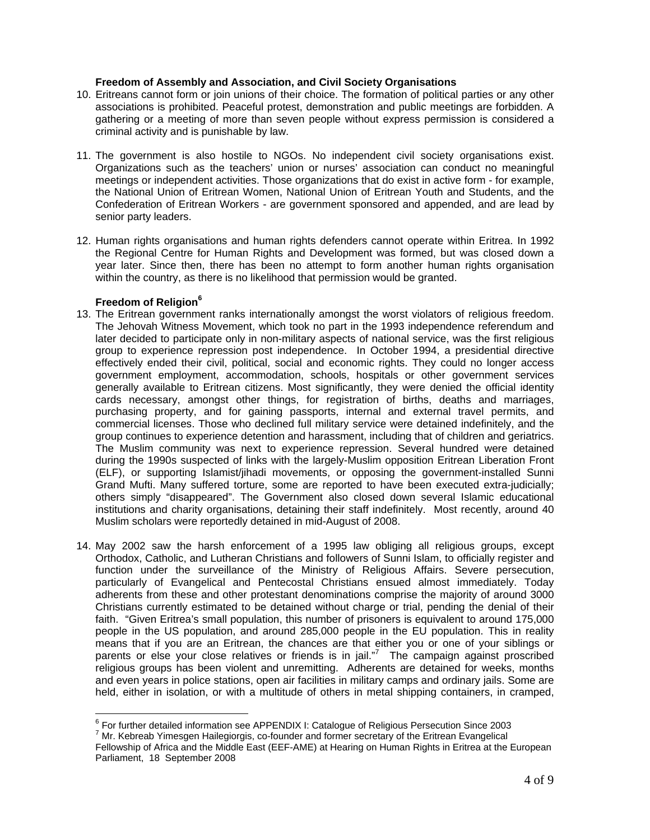## **Freedom of Assembly and Association, and Civil Society Organisations**

- 10. Eritreans cannot form or join unions of their choice. The formation of political parties or any other associations is prohibited. Peaceful protest, demonstration and public meetings are forbidden. A gathering or a meeting of more than seven people without express permission is considered a criminal activity and is punishable by law.
- 11. The government is also hostile to NGOs. No independent civil society organisations exist. Organizations such as the teachers' union or nurses' association can conduct no meaningful meetings or independent activities. Those organizations that do exist in active form - for example, the National Union of Eritrean Women, National Union of Eritrean Youth and Students, and the Confederation of Eritrean Workers - are government sponsored and appended, and are lead by senior party leaders.
- 12. Human rights organisations and human rights defenders cannot operate within Eritrea. In 1992 the Regional Centre for Human Rights and Development was formed, but was closed down a year later. Since then, there has been no attempt to form another human rights organisation within the country, as there is no likelihood that permission would be granted.

## **Freedom of Religion**<sup>6</sup>

- 13. The Eritrean government ranks internationally amongst the worst violators of religious freedom. The Jehovah Witness Movement, which took no part in the 1993 independence referendum and later decided to participate only in non-military aspects of national service, was the first religious group to experience repression post independence. In October 1994, a presidential directive effectively ended their civil, political, social and economic rights. They could no longer access government employment, accommodation, schools, hospitals or other government services generally available to Eritrean citizens. Most significantly, they were denied the official identity cards necessary, amongst other things, for registration of births, deaths and marriages, purchasing property, and for gaining passports, internal and external travel permits, and commercial licenses. Those who declined full military service were detained indefinitely, and the group continues to experience detention and harassment, including that of children and geriatrics. The Muslim community was next to experience repression. Several hundred were detained during the 1990s suspected of links with the largely-Muslim opposition Eritrean Liberation Front (ELF), or supporting Islamist/jihadi movements, or opposing the government-installed Sunni Grand Mufti. Many suffered torture, some are reported to have been executed extra-judicially; others simply "disappeared". The Government also closed down several Islamic educational institutions and charity organisations, detaining their staff indefinitely. Most recently, around 40 Muslim scholars were reportedly detained in mid-August of 2008.
- 14. May 2002 saw the harsh enforcement of a 1995 law obliging all religious groups, except Orthodox, Catholic, and Lutheran Christians and followers of Sunni Islam, to officially register and function under the surveillance of the Ministry of Religious Affairs. Severe persecution, particularly of Evangelical and Pentecostal Christians ensued almost immediately. Today adherents from these and other protestant denominations comprise the majority of around 3000 Christians currently estimated to be detained without charge or trial, pending the denial of their faith. "Given Eritrea's small population, this number of prisoners is equivalent to around 175,000 people in the US population, and around 285,000 people in the EU population. This in reality means that if you are an Eritrean, the chances are that either you or one of your siblings or parents or else your close relatives or friends is in jail."<sup>7</sup> The campaign against proscribed religious groups has been violent and unremitting. Adherents are detained for weeks, months and even years in police stations, open air facilities in military camps and ordinary jails. Some are held, either in isolation, or with a multitude of others in metal shipping containers, in cramped,

<sup>&</sup>lt;sup>6</sup><br><sup>6</sup> For further detailed information see APPENDIX I: Catalogue of Religious Persecution Since 2003<br>7 Mr. Kehreeb Yimeesee Heilesisssie, ee feunder and fermer eeststatusf the Fritteen Fuencelisel

 $7$  Mr. Kebreab Yimesgen Hailegiorgis, co-founder and former secretary of the Eritrean Evangelical Fellowship of Africa and the Middle East (EEF-AME) at Hearing on Human Rights in Eritrea at the European Parliament, 18 September 2008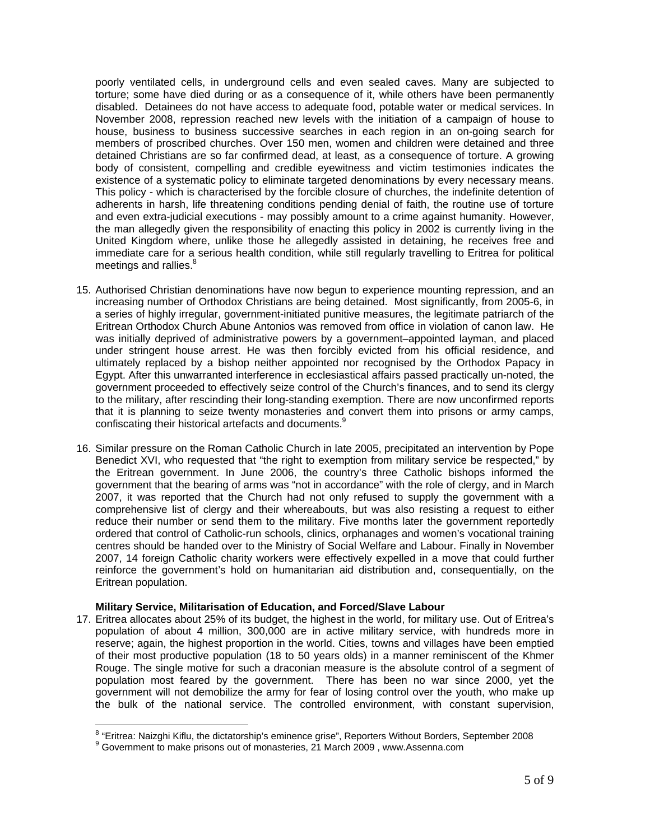poorly ventilated cells, in underground cells and even sealed caves. Many are subjected to torture; some have died during or as a consequence of it, while others have been permanently disabled. Detainees do not have access to adequate food, potable water or medical services. In November 2008, repression reached new levels with the initiation of a campaign of house to house, business to business successive searches in each region in an on-going search for members of proscribed churches. Over 150 men, women and children were detained and three detained Christians are so far confirmed dead, at least, as a consequence of torture. A growing body of consistent, compelling and credible eyewitness and victim testimonies indicates the existence of a systematic policy to eliminate targeted denominations by every necessary means. This policy - which is characterised by the forcible closure of churches, the indefinite detention of adherents in harsh, life threatening conditions pending denial of faith, the routine use of torture and even extra-judicial executions - may possibly amount to a crime against humanity. However, the man allegedly given the responsibility of enacting this policy in 2002 is currently living in the United Kingdom where, unlike those he allegedly assisted in detaining, he receives free and immediate care for a serious health condition, while still regularly travelling to Eritrea for political meetings and rallies.<sup>8</sup>

- 15. Authorised Christian denominations have now begun to experience mounting repression, and an increasing number of Orthodox Christians are being detained. Most significantly, from 2005-6, in a series of highly irregular, government-initiated punitive measures, the legitimate patriarch of the Eritrean Orthodox Church Abune Antonios was removed from office in violation of canon law. He was initially deprived of administrative powers by a government–appointed layman, and placed under stringent house arrest. He was then forcibly evicted from his official residence, and ultimately replaced by a bishop neither appointed nor recognised by the Orthodox Papacy in Egypt. After this unwarranted interference in ecclesiastical affairs passed practically un-noted, the government proceeded to effectively seize control of the Church's finances, and to send its clergy to the military, after rescinding their long-standing exemption. There are now unconfirmed reports that it is planning to seize twenty monasteries and convert them into prisons or army camps, confiscating their historical artefacts and documents.<sup>9</sup>
- 16. Similar pressure on the Roman Catholic Church in late 2005, precipitated an intervention by Pope Benedict XVI, who requested that "the right to exemption from military service be respected," by the Eritrean government. In June 2006, the country's three Catholic bishops informed the government that the bearing of arms was "not in accordance" with the role of clergy, and in March 2007, it was reported that the Church had not only refused to supply the government with a comprehensive list of clergy and their whereabouts, but was also resisting a request to either reduce their number or send them to the military. Five months later the government reportedly ordered that control of Catholic-run schools, clinics, orphanages and women's vocational training centres should be handed over to the Ministry of Social Welfare and Labour. Finally in November 2007, 14 foreign Catholic charity workers were effectively expelled in a move that could further reinforce the government's hold on humanitarian aid distribution and, consequentially, on the Eritrean population.

#### **Military Service, Militarisation of Education, and Forced/Slave Labour**

17. Eritrea allocates about 25% of its budget, the highest in the world, for military use. Out of Eritrea's population of about 4 million, 300,000 are in active military service, with hundreds more in reserve; again, the highest proportion in the world. Cities, towns and villages have been emptied of their most productive population (18 to 50 years olds) in a manner reminiscent of the Khmer Rouge. The single motive for such a draconian measure is the absolute control of a segment of population most feared by the government. There has been no war since 2000, yet the government will not demobilize the army for fear of losing control over the youth, who make up the bulk of the national service. The controlled environment, with constant supervision,

<sup>&</sup>lt;sup>8</sup> "Eritrea: Naizghi Kiflu, the dictatorship's eminence grise", Reporters Without Borders, September 2008

<sup>&</sup>lt;sup>9</sup> Government to make prisons out of monasteries, 21 March 2009, www.Assenna.com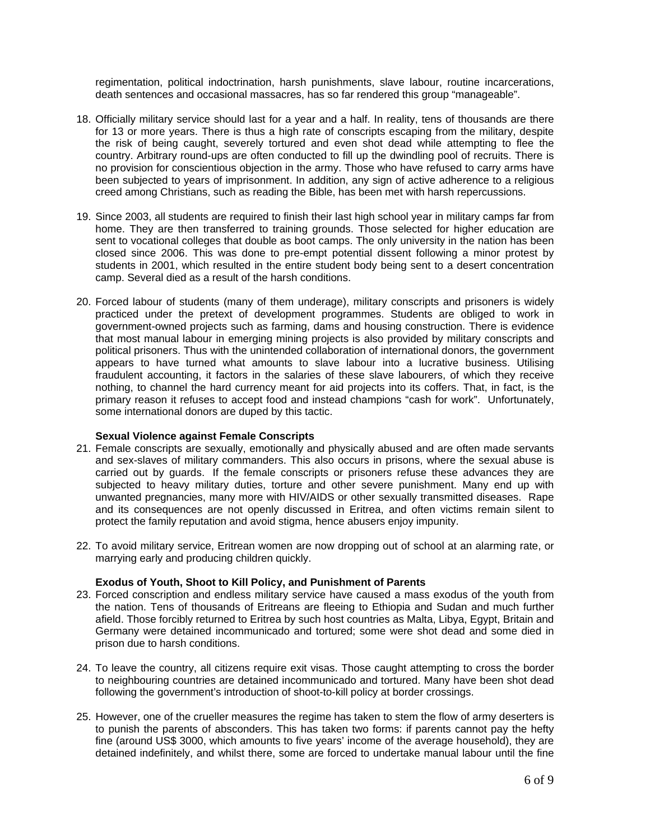regimentation, political indoctrination, harsh punishments, slave labour, routine incarcerations, death sentences and occasional massacres, has so far rendered this group "manageable".

- 18. Officially military service should last for a year and a half. In reality, tens of thousands are there for 13 or more years. There is thus a high rate of conscripts escaping from the military, despite the risk of being caught, severely tortured and even shot dead while attempting to flee the country. Arbitrary round-ups are often conducted to fill up the dwindling pool of recruits. There is no provision for conscientious objection in the army. Those who have refused to carry arms have been subjected to years of imprisonment. In addition, any sign of active adherence to a religious creed among Christians, such as reading the Bible, has been met with harsh repercussions.
- 19. Since 2003, all students are required to finish their last high school year in military camps far from home. They are then transferred to training grounds. Those selected for higher education are sent to vocational colleges that double as boot camps. The only university in the nation has been closed since 2006. This was done to pre-empt potential dissent following a minor protest by students in 2001, which resulted in the entire student body being sent to a desert concentration camp. Several died as a result of the harsh conditions.
- 20. Forced labour of students (many of them underage), military conscripts and prisoners is widely practiced under the pretext of development programmes. Students are obliged to work in government-owned projects such as farming, dams and housing construction. There is evidence that most manual labour in emerging mining projects is also provided by military conscripts and political prisoners. Thus with the unintended collaboration of international donors, the government appears to have turned what amounts to slave labour into a lucrative business. Utilising fraudulent accounting, it factors in the salaries of these slave labourers, of which they receive nothing, to channel the hard currency meant for aid projects into its coffers. That, in fact, is the primary reason it refuses to accept food and instead champions "cash for work". Unfortunately, some international donors are duped by this tactic.

#### **Sexual Violence against Female Conscripts**

- 21. Female conscripts are sexually, emotionally and physically abused and are often made servants and sex-slaves of military commanders. This also occurs in prisons, where the sexual abuse is carried out by guards. If the female conscripts or prisoners refuse these advances they are subjected to heavy military duties, torture and other severe punishment. Many end up with unwanted pregnancies, many more with HIV/AIDS or other sexually transmitted diseases. Rape and its consequences are not openly discussed in Eritrea, and often victims remain silent to protect the family reputation and avoid stigma, hence abusers enjoy impunity.
- 22. To avoid military service, Eritrean women are now dropping out of school at an alarming rate, or marrying early and producing children quickly.

#### **Exodus of Youth, Shoot to Kill Policy, and Punishment of Parents**

- 23. Forced conscription and endless military service have caused a mass exodus of the youth from the nation. Tens of thousands of Eritreans are fleeing to Ethiopia and Sudan and much further afield. Those forcibly returned to Eritrea by such host countries as Malta, Libya, Egypt, Britain and Germany were detained incommunicado and tortured; some were shot dead and some died in prison due to harsh conditions.
- 24. To leave the country, all citizens require exit visas. Those caught attempting to cross the border to neighbouring countries are detained incommunicado and tortured. Many have been shot dead following the government's introduction of shoot-to-kill policy at border crossings.
- 25. However, one of the crueller measures the regime has taken to stem the flow of army deserters is to punish the parents of absconders. This has taken two forms: if parents cannot pay the hefty fine (around US\$ 3000, which amounts to five years' income of the average household), they are detained indefinitely, and whilst there, some are forced to undertake manual labour until the fine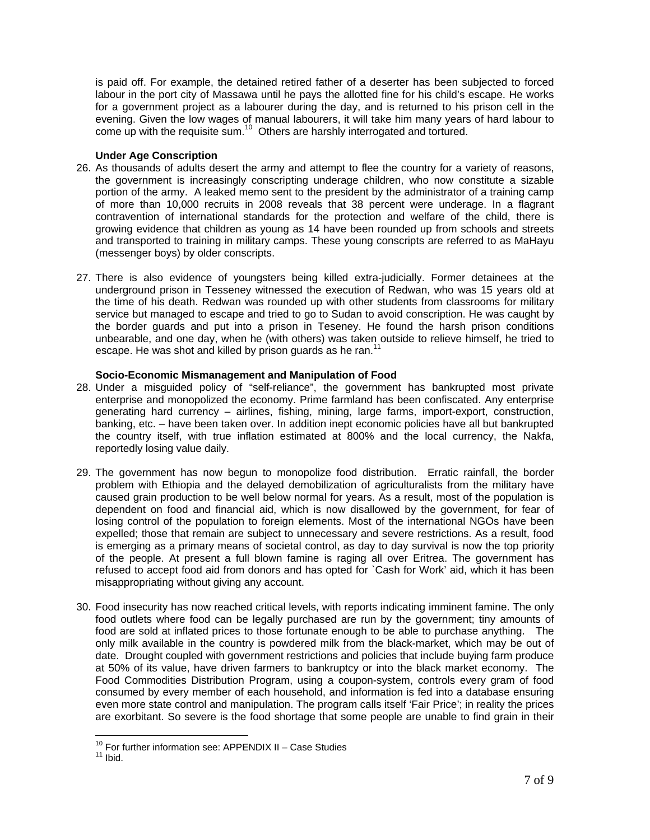is paid off. For example, the detained retired father of a deserter has been subjected to forced labour in the port city of Massawa until he pays the allotted fine for his child's escape. He works for a government project as a labourer during the day, and is returned to his prison cell in the evening. Given the low wages of manual labourers, it will take him many years of hard labour to  $\frac{1}{2}$  come up with the requisite sum.<sup>10</sup> Others are harshly interrogated and tortured.

## **Under Age Conscription**

- 26. As thousands of adults desert the army and attempt to flee the country for a variety of reasons, the government is increasingly conscripting underage children, who now constitute a sizable portion of the army. A leaked memo sent to the president by the administrator of a training camp of more than 10,000 recruits in 2008 reveals that 38 percent were underage. In a flagrant contravention of international standards for the protection and welfare of the child, there is growing evidence that children as young as 14 have been rounded up from schools and streets and transported to training in military camps. These young conscripts are referred to as MaHayu (messenger boys) by older conscripts.
- 27. There is also evidence of youngsters being killed extra-judicially. Former detainees at the underground prison in Tesseney witnessed the execution of Redwan, who was 15 years old at the time of his death. Redwan was rounded up with other students from classrooms for military service but managed to escape and tried to go to Sudan to avoid conscription. He was caught by the border guards and put into a prison in Teseney. He found the harsh prison conditions unbearable, and one day, when he (with others) was taken outside to relieve himself, he tried to escape. He was shot and killed by prison guards as he ran.<sup>11</sup>

## **Socio-Economic Mismanagement and Manipulation of Food**

- 28. Under a misguided policy of "self-reliance", the government has bankrupted most private enterprise and monopolized the economy. Prime farmland has been confiscated. Any enterprise generating hard currency – airlines, fishing, mining, large farms, import-export, construction, banking, etc. – have been taken over. In addition inept economic policies have all but bankrupted the country itself, with true inflation estimated at 800% and the local currency, the Nakfa, reportedly losing value daily.
- 29. The government has now begun to monopolize food distribution. Erratic rainfall, the border problem with Ethiopia and the delayed demobilization of agriculturalists from the military have caused grain production to be well below normal for years. As a result, most of the population is dependent on food and financial aid, which is now disallowed by the government, for fear of losing control of the population to foreign elements. Most of the international NGOs have been expelled; those that remain are subject to unnecessary and severe restrictions. As a result, food is emerging as a primary means of societal control, as day to day survival is now the top priority of the people. At present a full blown famine is raging all over Eritrea. The government has refused to accept food aid from donors and has opted for `Cash for Work' aid, which it has been misappropriating without giving any account.
- 30. Food insecurity has now reached critical levels, with reports indicating imminent famine. The only food outlets where food can be legally purchased are run by the government; tiny amounts of food are sold at inflated prices to those fortunate enough to be able to purchase anything. The only milk available in the country is powdered milk from the black-market, which may be out of date. Drought coupled with government restrictions and policies that include buying farm produce at 50% of its value, have driven farmers to bankruptcy or into the black market economy. The Food Commodities Distribution Program, using a coupon-system, controls every gram of food consumed by every member of each household, and information is fed into a database ensuring even more state control and manipulation. The program calls itself 'Fair Price'; in reality the prices are exorbitant. So severe is the food shortage that some people are unable to find grain in their

 $\overline{a}$ <sup>10</sup> For further information see: APPENDIX II – Case Studies<br><sup>11</sup> Ibid.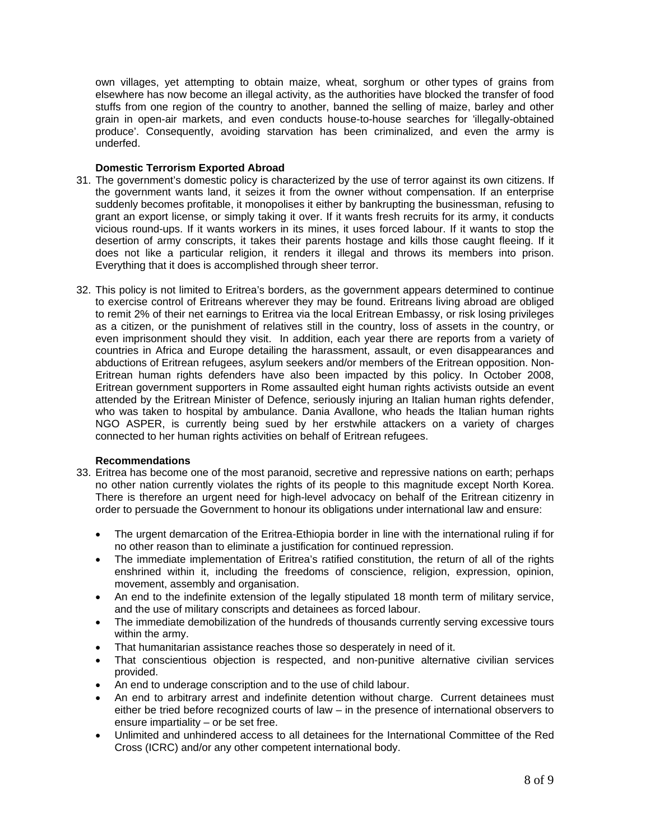own villages, yet attempting to obtain maize, wheat, sorghum or other types of grains from elsewhere has now become an illegal activity, as the authorities have blocked the transfer of food stuffs from one region of the country to another, banned the selling of maize, barley and other grain in open-air markets, and even conducts house-to-house searches for 'illegally-obtained produce'. Consequently, avoiding starvation has been criminalized, and even the army is underfed.

### **Domestic Terrorism Exported Abroad**

- 31. The government's domestic policy is characterized by the use of terror against its own citizens. If the government wants land, it seizes it from the owner without compensation. If an enterprise suddenly becomes profitable, it monopolises it either by bankrupting the businessman, refusing to grant an export license, or simply taking it over. If it wants fresh recruits for its army, it conducts vicious round-ups. If it wants workers in its mines, it uses forced labour. If it wants to stop the desertion of army conscripts, it takes their parents hostage and kills those caught fleeing. If it does not like a particular religion, it renders it illegal and throws its members into prison. Everything that it does is accomplished through sheer terror.
- 32. This policy is not limited to Eritrea's borders, as the government appears determined to continue to exercise control of Eritreans wherever they may be found. Eritreans living abroad are obliged to remit 2% of their net earnings to Eritrea via the local Eritrean Embassy, or risk losing privileges as a citizen, or the punishment of relatives still in the country, loss of assets in the country, or even imprisonment should they visit. In addition, each year there are reports from a variety of countries in Africa and Europe detailing the harassment, assault, or even disappearances and abductions of Eritrean refugees, asylum seekers and/or members of the Eritrean opposition. Non-Eritrean human rights defenders have also been impacted by this policy. In October 2008, Eritrean government supporters in Rome assaulted eight human rights activists outside an event attended by the Eritrean Minister of Defence, seriously injuring an Italian human rights defender, who was taken to hospital by ambulance. Dania Avallone, who heads the Italian human rights NGO ASPER, is currently being sued by her erstwhile attackers on a variety of charges connected to her human rights activities on behalf of Eritrean refugees.

## **Recommendations**

- 33. Eritrea has become one of the most paranoid, secretive and repressive nations on earth; perhaps no other nation currently violates the rights of its people to this magnitude except North Korea. There is therefore an urgent need for high-level advocacy on behalf of the Eritrean citizenry in order to persuade the Government to honour its obligations under international law and ensure:
	- The urgent demarcation of the Eritrea-Ethiopia border in line with the international ruling if for no other reason than to eliminate a justification for continued repression.
	- The immediate implementation of Eritrea's ratified constitution, the return of all of the rights enshrined within it, including the freedoms of conscience, religion, expression, opinion, movement, assembly and organisation.
	- An end to the indefinite extension of the legally stipulated 18 month term of military service, and the use of military conscripts and detainees as forced labour.
	- The immediate demobilization of the hundreds of thousands currently serving excessive tours within the army.
	- That humanitarian assistance reaches those so desperately in need of it.
	- That conscientious objection is respected, and non-punitive alternative civilian services provided.
	- An end to underage conscription and to the use of child labour.
	- An end to arbitrary arrest and indefinite detention without charge. Current detainees must either be tried before recognized courts of law – in the presence of international observers to ensure impartiality – or be set free.
	- Unlimited and unhindered access to all detainees for the International Committee of the Red Cross (ICRC) and/or any other competent international body.